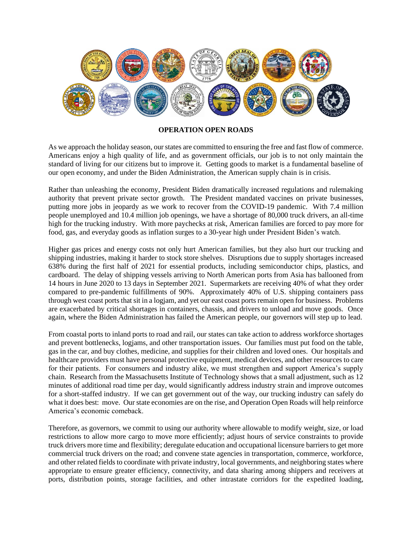

## **OPERATION OPEN ROADS**

As we approach the holiday season, our states are committed to ensuring the free and fast flow of commerce. Americans enjoy a high quality of life, and as government officials, our job is to not only maintain the standard of living for our citizens but to improve it. Getting goods to market is a fundamental baseline of our open economy, and under the Biden Administration, the American supply chain is in crisis.

Rather than unleashing the economy, President Biden dramatically increased regulations and rulemaking authority that prevent private sector growth. The President mandated vaccines on private businesses, putting more jobs in jeopardy as we work to recover from the COVID-19 pandemic. With 7.4 million people unemployed and 10.4 million job openings, we have a shortage of 80,000 truck drivers, an all-time high for the trucking industry. With more paychecks at risk, American families are forced to pay more for food, gas, and everyday goods as inflation surges to a 30-year high under President Biden's watch.

Higher gas prices and energy costs not only hurt American families, but they also hurt our trucking and shipping industries, making it harder to stock store shelves. Disruptions due to supply shortages increased 638% during the first half of 2021 for essential products, including semiconductor chips, plastics, and cardboard. The delay of shipping vessels arriving to North American ports from Asia has ballooned from 14 hours in June 2020 to 13 days in September 2021. Supermarkets are receiving 40% of what they order compared to pre-pandemic fulfillments of 90%. Approximately 40% of U.S. shipping containers pass through west coast ports that sit in a logjam, and yet our east coast ports remain open for business. Problems are exacerbated by critical shortages in containers, chassis, and drivers to unload and move goods. Once again, where the Biden Administration has failed the American people, our governors will step up to lead.

From coastal ports to inland ports to road and rail, our states can take action to address workforce shortages and prevent bottlenecks, logjams, and other transportation issues. Our families must put food on the table, gas in the car, and buy clothes, medicine, and supplies for their children and loved ones. Our hospitals and healthcare providers must have personal protective equipment, medical devices, and other resources to care for their patients. For consumers and industry alike, we must strengthen and support America's supply chain. Research from the Massachusetts Institute of Technology shows that a small adjustment, such as 12 minutes of additional road time per day, would significantly address industry strain and improve outcomes for a short-staffed industry. If we can get government out of the way, our trucking industry can safely do what it does best: move. Our state economies are on the rise, and Operation Open Roads will help reinforce America's economic comeback.

Therefore, as governors, we commit to using our authority where allowable to modify weight, size, or load restrictions to allow more cargo to move more efficiently; adjust hours of service constraints to provide truck drivers more time and flexibility; deregulate education and occupational licensure barriers to get more commercial truck drivers on the road; and convene state agencies in transportation, commerce, workforce, and other related fields to coordinate with private industry, local governments, and neighboring states where appropriate to ensure greater efficiency, connectivity, and data sharing among shippers and receivers at ports, distribution points, storage facilities, and other intrastate corridors for the expedited loading,